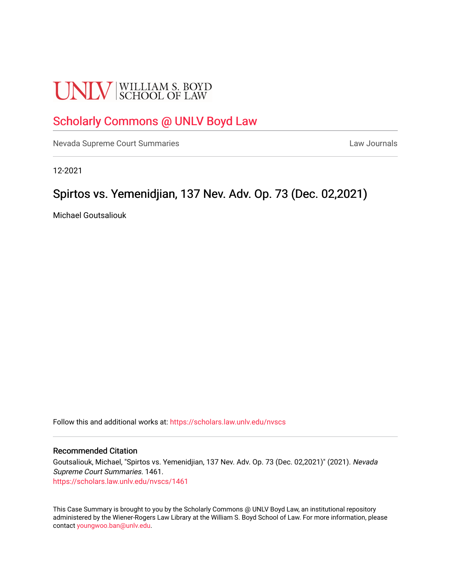# **UNLV** SCHOOL OF LAW

## [Scholarly Commons @ UNLV Boyd Law](https://scholars.law.unlv.edu/)

[Nevada Supreme Court Summaries](https://scholars.law.unlv.edu/nvscs) **Law Journals** Law Journals

12-2021

### Spirtos vs. Yemenidjian, 137 Nev. Adv. Op. 73 (Dec. 02,2021).

Michael Goutsaliouk

Follow this and additional works at: [https://scholars.law.unlv.edu/nvscs](https://scholars.law.unlv.edu/nvscs?utm_source=scholars.law.unlv.edu%2Fnvscs%2F1461&utm_medium=PDF&utm_campaign=PDFCoverPages)

#### Recommended Citation

Goutsaliouk, Michael, "Spirtos vs. Yemenidjian, 137 Nev. Adv. Op. 73 (Dec. 02,2021)" (2021). Nevada Supreme Court Summaries. 1461. [https://scholars.law.unlv.edu/nvscs/1461](https://scholars.law.unlv.edu/nvscs/1461?utm_source=scholars.law.unlv.edu%2Fnvscs%2F1461&utm_medium=PDF&utm_campaign=PDFCoverPages) 

This Case Summary is brought to you by the Scholarly Commons @ UNLV Boyd Law, an institutional repository administered by the Wiener-Rogers Law Library at the William S. Boyd School of Law. For more information, please contact [youngwoo.ban@unlv.edu](mailto:youngwoo.ban@unlv.edu).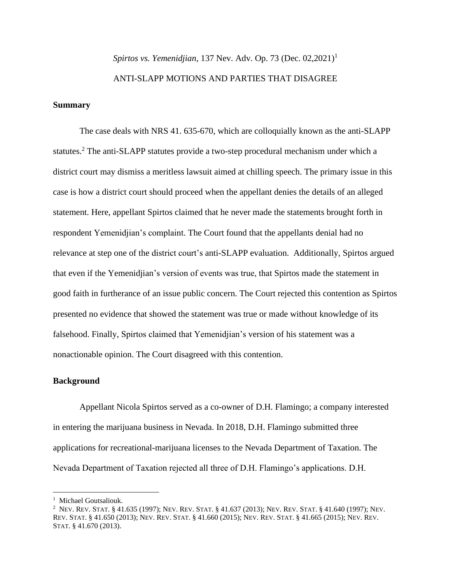## *Spirtos vs. Yemenidjian, 137 Nev. Adv. Op. 73 (Dec. 02,2021)<sup>1</sup>* ANTI-SLAPP MOTIONS AND PARTIES THAT DISAGREE

#### **Summary**

The case deals with NRS 41. 635-670, which are colloquially known as the anti-SLAPP statutes.<sup>2</sup> The anti-SLAPP statutes provide a two-step procedural mechanism under which a district court may dismiss a meritless lawsuit aimed at chilling speech. The primary issue in this case is how a district court should proceed when the appellant denies the details of an alleged statement. Here, appellant Spirtos claimed that he never made the statements brought forth in respondent Yemenidjian's complaint. The Court found that the appellants denial had no relevance at step one of the district court's anti-SLAPP evaluation. Additionally, Spirtos argued that even if the Yemenidjian's version of events was true, that Spirtos made the statement in good faith in furtherance of an issue public concern. The Court rejected this contention as Spirtos presented no evidence that showed the statement was true or made without knowledge of its falsehood. Finally, Spirtos claimed that Yemenidjian's version of his statement was a nonactionable opinion. The Court disagreed with this contention.

#### **Background**

Appellant Nicola Spirtos served as a co-owner of D.H. Flamingo; a company interested in entering the marijuana business in Nevada. In 2018, D.H. Flamingo submitted three applications for recreational-marijuana licenses to the Nevada Department of Taxation. The Nevada Department of Taxation rejected all three of D.H. Flamingo's applications. D.H.

<sup>&</sup>lt;sup>1</sup> Michael Goutsaliouk.

<sup>2</sup> NEV. REV. STAT. § 41.635 (1997); NEV. REV. STAT. § 41.637 (2013); NEV. REV. STAT. § 41.640 (1997); NEV. REV. STAT. § 41.650 (2013); NEV. REV. STAT. § 41.660 (2015); NEV. REV. STAT. § 41.665 (2015); NEV. REV. STAT. § 41.670 (2013).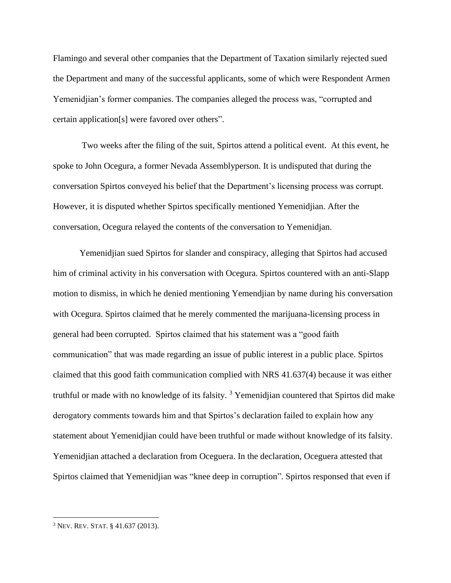Flamingo and several other companies that the Department of Taxation similarly rejected sued the Department and many of the successful applicants, some of which were Respondent Armen Yemenidjian's former companies. The companies alleged the process was, "corrupted and certain application[s] were favored over others".

Two weeks after the filing of the suit, Spirtos attend a political event. At this event, he spoke to John Ocegura, a former Nevada Assemblyperson. It is undisputed that during the conversation Spirtos conveyed his belief that the Department's licensing process was corrupt. However, it is disputed whether Spirtos specifically mentioned Yemenidjian. After the conversation, Ocegura relayed the contents of the conversation to Yemenidjan.

Yemenidjian sued Spirtos for slander and conspiracy, alleging that Spirtos had accused him of criminal activity in his conversation with Ocegura. Spirtos countered with an anti-Slapp motion to dismiss, in which he denied mentioning Yemendjian by name during his conversation with Ocegura. Spirtos claimed that he merely commented the marijuana-licensing process in general had been corrupted. Spirtos claimed that his statement was a "good faith communication" that was made regarding an issue of public interest in a public place. Spirtos claimed that this good faith communication complied with NRS 41.637(4) because it was either truthful or made with no knowledge of its falsity.<sup>3</sup> Yemenidjian countered that Spirtos did make derogatory comments towards him and that Spirtos's declaration failed to explain how any statement about Yemenidjian could have been truthful or made without knowledge of its falsity. Yemenidjian attached a declaration from Oceguera. In the declaration, Oceguera attested that Spirtos claimed that Yemenidjian was "knee deep in corruption". Spirtos responsed that even if

<sup>3</sup> NEV. REV. STAT. § 41.637 (2013).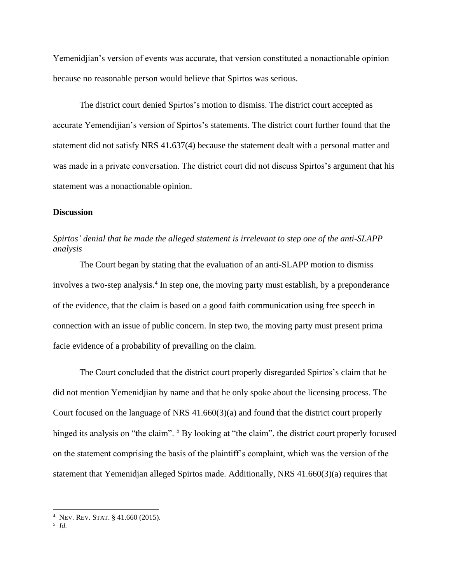Yemenidjian's version of events was accurate, that version constituted a nonactionable opinion because no reasonable person would believe that Spirtos was serious.

The district court denied Spirtos's motion to dismiss. The district court accepted as accurate Yemendijian's version of Spirtos's statements. The district court further found that the statement did not satisfy NRS 41.637(4) because the statement dealt with a personal matter and was made in a private conversation. The district court did not discuss Spirtos's argument that his statement was a nonactionable opinion.

#### **Discussion**

#### *Spirtos' denial that he made the alleged statement is irrelevant to step one of the anti-SLAPP analysis*

The Court began by stating that the evaluation of an anti-SLAPP motion to dismiss involves a two-step analysis.<sup>4</sup> In step one, the moving party must establish, by a preponderance of the evidence, that the claim is based on a good faith communication using free speech in connection with an issue of public concern. In step two, the moving party must present prima facie evidence of a probability of prevailing on the claim.

The Court concluded that the district court properly disregarded Spirtos's claim that he did not mention Yemenidjian by name and that he only spoke about the licensing process. The Court focused on the language of NRS 41.660(3)(a) and found that the district court properly hinged its analysis on "the claim". <sup>5</sup> By looking at "the claim", the district court properly focused on the statement comprising the basis of the plaintiff's complaint, which was the version of the statement that Yemenidjan alleged Spirtos made. Additionally, NRS 41.660(3)(a) requires that

<sup>4</sup> NEV. REV. STAT. § 41.660 (2015).

<sup>5</sup> *Id.*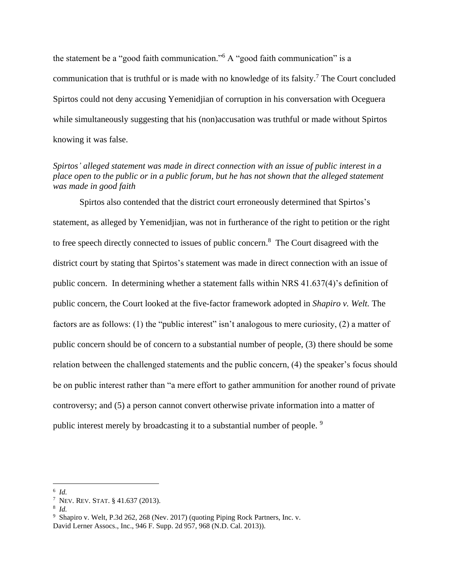the statement be a "good faith communication."<sup>6</sup> A "good faith communication" is a communication that is truthful or is made with no knowledge of its falsity.<sup>7</sup> The Court concluded Spirtos could not deny accusing Yemenidjian of corruption in his conversation with Oceguera while simultaneously suggesting that his (non)accusation was truthful or made without Spirtos knowing it was false.

#### *Spirtos' alleged statement was made in direct connection with an issue of public interest in a place open to the public or in a public forum, but he has not shown that the alleged statement was made in good faith*

Spirtos also contended that the district court erroneously determined that Spirtos's statement, as alleged by Yemenidjian, was not in furtherance of the right to petition or the right to free speech directly connected to issues of public concern.<sup>8</sup> The Court disagreed with the district court by stating that Spirtos's statement was made in direct connection with an issue of public concern. In determining whether a statement falls within NRS 41.637(4)'s definition of public concern, the Court looked at the five-factor framework adopted in *Shapiro v. Welt.* The factors are as follows: (1) the "public interest" isn't analogous to mere curiosity, (2) a matter of public concern should be of concern to a substantial number of people, (3) there should be some relation between the challenged statements and the public concern, (4) the speaker's focus should be on public interest rather than "a mere effort to gather ammunition for another round of private controversy; and (5) a person cannot convert otherwise private information into a matter of public interest merely by broadcasting it to a substantial number of people.<sup>9</sup>

<sup>6</sup> *Id.*

<sup>&</sup>lt;sup>7</sup> Nev. Rev. Stat. § 41.637 (2013).

<sup>8</sup> *Id.*

<sup>9</sup> Shapiro v. Welt, P.3d 262, 268 (Nev. 2017) (quoting Piping Rock Partners, Inc. v. David Lerner Assocs., Inc., 946 F. Supp. 2d 957, 968 (N.D. Cal. 2013)).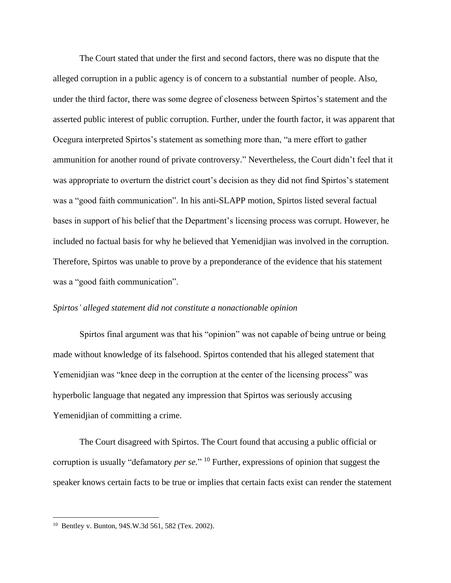The Court stated that under the first and second factors, there was no dispute that the alleged corruption in a public agency is of concern to a substantial number of people. Also, under the third factor, there was some degree of closeness between Spirtos's statement and the asserted public interest of public corruption. Further, under the fourth factor, it was apparent that Ocegura interpreted Spirtos's statement as something more than, "a mere effort to gather ammunition for another round of private controversy." Nevertheless, the Court didn't feel that it was appropriate to overturn the district court's decision as they did not find Spirtos's statement was a "good faith communication". In his anti-SLAPP motion, Spirtos listed several factual bases in support of his belief that the Department's licensing process was corrupt. However, he included no factual basis for why he believed that Yemenidjian was involved in the corruption. Therefore, Spirtos was unable to prove by a preponderance of the evidence that his statement was a "good faith communication".

#### *Spirtos' alleged statement did not constitute a nonactionable opinion*

Spirtos final argument was that his "opinion" was not capable of being untrue or being made without knowledge of its falsehood. Spirtos contended that his alleged statement that Yemenidjian was "knee deep in the corruption at the center of the licensing process" was hyperbolic language that negated any impression that Spirtos was seriously accusing Yemenidjian of committing a crime.

The Court disagreed with Spirtos. The Court found that accusing a public official or corruption is usually "defamatory *per se.*" <sup>10</sup> Further, expressions of opinion that suggest the speaker knows certain facts to be true or implies that certain facts exist can render the statement

<sup>10</sup> Bentley v. Bunton, 94S.W.3d 561, 582 (Tex. 2002).